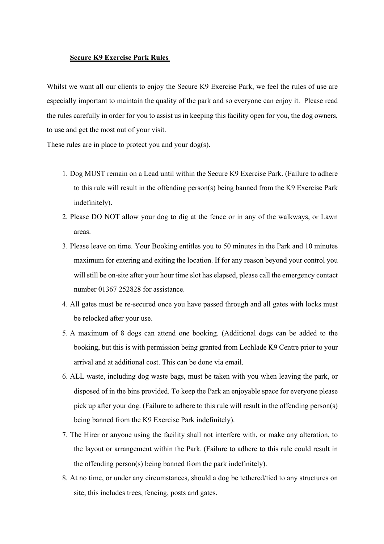## **Secure K9 Exercise Park Rules**

Whilst we want all our clients to enjoy the Secure K9 Exercise Park, we feel the rules of use are especially important to maintain the quality of the park and so everyone can enjoy it. Please read the rules carefully in order for you to assist us in keeping this facility open for you, the dog owners, to use and get the most out of your visit.

These rules are in place to protect you and your dog(s).

- 1. Dog MUST remain on a Lead until within the Secure K9 Exercise Park. (Failure to adhere to this rule will result in the offending person(s) being banned from the K9 Exercise Park indefinitely).
- 2. Please DO NOT allow your dog to dig at the fence or in any of the walkways, or Lawn areas.
- 3. Please leave on time. Your Booking entitles you to 50 minutes in the Park and 10 minutes maximum for entering and exiting the location. If for any reason beyond your control you will still be on-site after your hour time slot has elapsed, please call the emergency contact number 01367 252828 for assistance.
- 4. All gates must be re-secured once you have passed through and all gates with locks must be relocked after your use.
- 5. A maximum of 8 dogs can attend one booking. (Additional dogs can be added to the booking, but this is with permission being granted from Lechlade K9 Centre prior to your arrival and at additional cost. This can be done via email.
- 6. ALL waste, including dog waste bags, must be taken with you when leaving the park, or disposed of in the bins provided. To keep the Park an enjoyable space for everyone please pick up after your dog. (Failure to adhere to this rule will result in the offending person(s) being banned from the K9 Exercise Park indefinitely).
- 7. The Hirer or anyone using the facility shall not interfere with, or make any alteration, to the layout or arrangement within the Park. (Failure to adhere to this rule could result in the offending person(s) being banned from the park indefinitely).
- 8. At no time, or under any circumstances, should a dog be tethered/tied to any structures on site, this includes trees, fencing, posts and gates.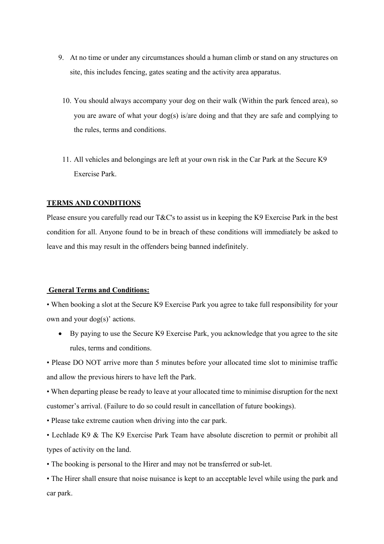- 9. At no time or under any circumstances should a human climb or stand on any structures on site, this includes fencing, gates seating and the activity area apparatus.
	- 10. You should always accompany your dog on their walk (Within the park fenced area), so you are aware of what your dog(s) is/are doing and that they are safe and complying to the rules, terms and conditions.
	- 11. All vehicles and belongings are left at your own risk in the Car Park at the Secure K9 Exercise Park.

## **TERMS AND CONDITIONS**

Please ensure you carefully read our T&C's to assist us in keeping the K9 Exercise Park in the best condition for all. Anyone found to be in breach of these conditions will immediately be asked to leave and this may result in the offenders being banned indefinitely.

## **General Terms and Conditions:**

• When booking a slot at the Secure K9 Exercise Park you agree to take full responsibility for your own and your dog(s)' actions.

• By paying to use the Secure K9 Exercise Park, you acknowledge that you agree to the site rules, terms and conditions.

• Please DO NOT arrive more than 5 minutes before your allocated time slot to minimise traffic and allow the previous hirers to have left the Park.

• When departing please be ready to leave at your allocated time to minimise disruption for the next customer's arrival. (Failure to do so could result in cancellation of future bookings).

• Please take extreme caution when driving into the car park.

• Lechlade K9 & The K9 Exercise Park Team have absolute discretion to permit or prohibit all types of activity on the land.

• The booking is personal to the Hirer and may not be transferred or sub-let.

• The Hirer shall ensure that noise nuisance is kept to an acceptable level while using the park and car park.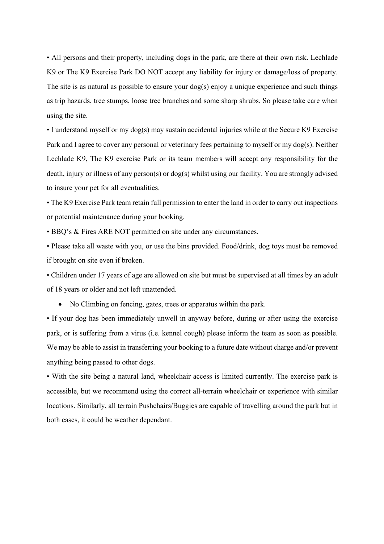• All persons and their property, including dogs in the park, are there at their own risk. Lechlade K9 or The K9 Exercise Park DO NOT accept any liability for injury or damage/loss of property. The site is as natural as possible to ensure your dog(s) enjoy a unique experience and such things as trip hazards, tree stumps, loose tree branches and some sharp shrubs. So please take care when using the site.

• I understand myself or my dog(s) may sustain accidental injuries while at the Secure K9 Exercise Park and I agree to cover any personal or veterinary fees pertaining to myself or my dog(s). Neither Lechlade K9, The K9 exercise Park or its team members will accept any responsibility for the death, injury or illness of any person(s) or dog(s) whilst using our facility. You are strongly advised to insure your pet for all eventualities.

• The K9 Exercise Park team retain full permission to enter the land in order to carry out inspections or potential maintenance during your booking.

• BBQ's & Fires ARE NOT permitted on site under any circumstances.

• Please take all waste with you, or use the bins provided. Food/drink, dog toys must be removed if brought on site even if broken.

• Children under 17 years of age are allowed on site but must be supervised at all times by an adult of 18 years or older and not left unattended.

• No Climbing on fencing, gates, trees or apparatus within the park.

• If your dog has been immediately unwell in anyway before, during or after using the exercise park, or is suffering from a virus (i.e. kennel cough) please inform the team as soon as possible. We may be able to assist in transferring your booking to a future date without charge and/or prevent anything being passed to other dogs.

• With the site being a natural land, wheelchair access is limited currently. The exercise park is accessible, but we recommend using the correct all-terrain wheelchair or experience with similar locations. Similarly, all terrain Pushchairs/Buggies are capable of travelling around the park but in both cases, it could be weather dependant.